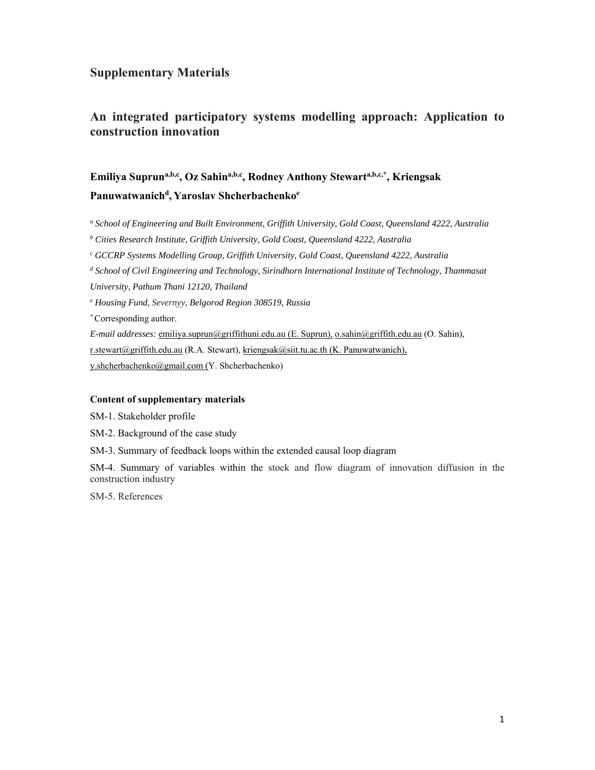### **Supplementary Materials**

### **An integrated participatory systems modelling approach: Application to construction innovation**

# **Emiliya Supruna,b,c, Oz Sahina,b,c, Rodney Anthony Stewarta,b,c,\*, Kriengsak Panuwatwanichd, Yaroslav Shcherbachenkoe**

a School of Engineering and Built Environment, Griffith University, Gold Coast, Queensland 4222, Australia

<sup>*b*</sup> Cities Research Institute, Griffith University, Gold Coast, Queensland 4222, Australia

*c GCCRP Systems Modelling Group, Griffith University, Gold Coast, Queensland 4222, Australia* 

<sup>d</sup> School of Civil Engineering and Technology, Sirindhorn International Institute of Technology, Thammasat

*University, Pathum Thani 12120, Thailand* 

*e Housing Fund, Severnyy, Belgorod Region 308519, Russia* 

*\** Corresponding author.

*E-mail addresses:* emiliya.suprun@griffithuni.edu.au (E. Suprun), o.sahin@griffith.edu.au (O. Sahin),

r.stewart@griffith.edu.au (R.A. Stewart), kriengsak@siit.tu.ac.th (K. Panuwatwanich),

y.shcherbachenko@gmail.com (Y. Shcherbachenko)

#### **Content of supplementary materials**

SM-1. Stakeholder profile

SM-2. Background of the case study

SM-3. Summary of feedback loops within the extended causal loop diagram

SM-4. Summary of variables within the stock and flow diagram of innovation diffusion in the construction industry

SM-5. References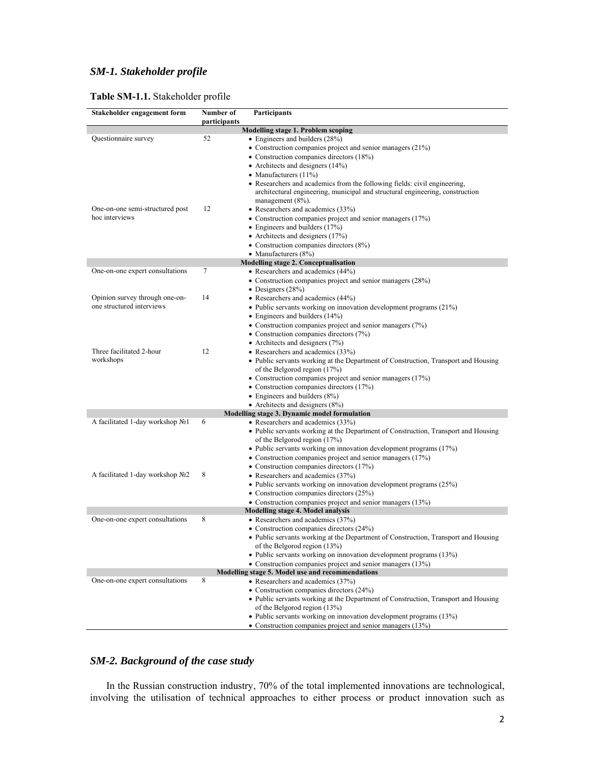# *SM-1. Stakeholder profile*

| Stakeholder engagement form      | Number of<br>participants | Participants                                                                                                       |
|----------------------------------|---------------------------|--------------------------------------------------------------------------------------------------------------------|
|                                  |                           | Modelling stage 1. Problem scoping                                                                                 |
| Questionnaire survey             | 52                        | • Engineers and builders (28%)                                                                                     |
|                                  |                           | • Construction companies project and senior managers $(21\%)$                                                      |
|                                  |                           | • Construction companies directors (18%)                                                                           |
|                                  |                           | • Architects and designers $(14%)$                                                                                 |
|                                  |                           | • Manufacturers $(11\%)$                                                                                           |
|                                  |                           | • Researchers and academics from the following fields: civil engineering,                                          |
|                                  |                           | architectural engineering, municipal and structural engineering, construction                                      |
|                                  |                           | management $(8\%)$ .                                                                                               |
| One-on-one semi-structured post  | 12                        | • Researchers and academics (33%)                                                                                  |
| hoc interviews                   |                           | • Construction companies project and senior managers (17%)                                                         |
|                                  |                           | • Engineers and builders (17%)                                                                                     |
|                                  |                           | • Architects and designers $(17%)$                                                                                 |
|                                  |                           | • Construction companies directors (8%)                                                                            |
|                                  |                           | • Manufacturers $(8\%)$                                                                                            |
|                                  |                           | Modelling stage 2. Conceptualisation                                                                               |
| One-on-one expert consultations  | $\tau$                    | • Researchers and academics (44%)                                                                                  |
|                                  |                           | • Construction companies project and senior managers (28%)                                                         |
|                                  |                           | • Designers $(28%)$                                                                                                |
| Opinion survey through one-on-   | 14                        | • Researchers and academics (44%)                                                                                  |
| one structured interviews        |                           | • Public servants working on innovation development programs $(21\%)$                                              |
|                                  |                           | • Engineers and builders (14%)                                                                                     |
|                                  |                           | • Construction companies project and senior managers $(7%)$                                                        |
|                                  |                           | • Construction companies directors (7%)                                                                            |
|                                  |                           | • Architects and designers (7%)                                                                                    |
| Three facilitated 2-hour         | 12                        | • Researchers and academics (33%)                                                                                  |
| workshops                        |                           | • Public servants working at the Department of Construction, Transport and Housing                                 |
|                                  |                           | of the Belgorod region (17%)                                                                                       |
|                                  |                           | • Construction companies project and senior managers (17%)                                                         |
|                                  |                           | • Construction companies directors (17%)                                                                           |
|                                  |                           | $\bullet$ Engineers and builders (8%)                                                                              |
|                                  |                           | • Architects and designers $(8\%)$                                                                                 |
|                                  |                           | Modelling stage 3. Dynamic model formulation                                                                       |
| A facilitated 1-day workshop No1 | 6                         | • Researchers and academics $(33%)$                                                                                |
|                                  |                           | • Public servants working at the Department of Construction, Transport and Housing                                 |
|                                  |                           | of the Belgorod region (17%)                                                                                       |
|                                  |                           | • Public servants working on innovation development programs $(17%)$                                               |
|                                  |                           | • Construction companies project and senior managers $(17%)$                                                       |
|                                  |                           | • Construction companies directors (17%)                                                                           |
| A facilitated 1-day workshop №2  | 8                         | • Researchers and academics (37%)                                                                                  |
|                                  |                           | • Public servants working on innovation development programs $(25%)$                                               |
|                                  |                           | • Construction companies directors (25%)                                                                           |
|                                  |                           | • Construction companies project and senior managers (13%)                                                         |
|                                  |                           | Modelling stage 4. Model analysis                                                                                  |
| One-on-one expert consultations  | 8                         | • Researchers and academics (37%)                                                                                  |
|                                  |                           | • Construction companies directors (24%)                                                                           |
|                                  |                           | • Public servants working at the Department of Construction, Transport and Housing                                 |
|                                  |                           | of the Belgorod region (13%)                                                                                       |
|                                  |                           | • Public servants working on innovation development programs (13%)                                                 |
|                                  |                           | • Construction companies project and senior managers (13%)                                                         |
| One-on-one expert consultations  | 8                         | Modelling stage 5. Model use and recommendations<br>• Researchers and academics (37%)                              |
|                                  |                           |                                                                                                                    |
|                                  |                           | • Construction companies directors (24%)                                                                           |
|                                  |                           | • Public servants working at the Department of Construction, Transport and Housing<br>of the Belgorod region (13%) |
|                                  |                           | • Public servants working on innovation development programs (13%)                                                 |
|                                  |                           |                                                                                                                    |
|                                  |                           | • Construction companies project and senior managers (13%)                                                         |

### *SM-2. Background of the case study*

In the Russian construction industry, 70% of the total implemented innovations are technological, involving the utilisation of technical approaches to either process or product innovation such as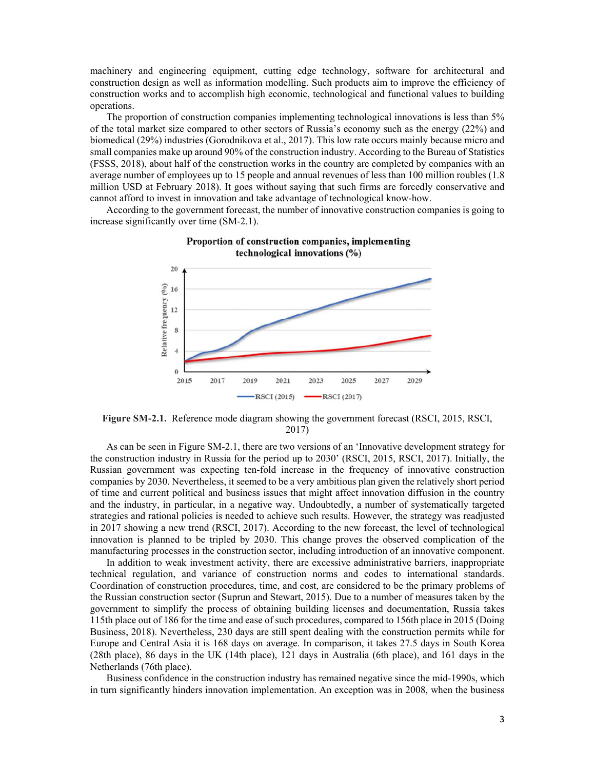machinery and engineering equipment, cutting edge technology, software for architectural and construction design as well as information modelling. Such products aim to improve the efficiency of construction works and to accomplish high economic, technological and functional values to building operations.

The proportion of construction companies implementing technological innovations is less than 5% of the total market size compared to other sectors of Russia's economy such as the energy (22%) and biomedical (29%) industries (Gorodnikova et al., 2017). This low rate occurs mainly because micro and small companies make up around 90% of the construction industry. According to the Bureau of Statistics (FSSS, 2018), about half of the construction works in the country are completed by companies with an average number of employees up to 15 people and annual revenues of less than 100 million roubles (1.8 million USD at February 2018). It goes without saying that such firms are forcedly conservative and cannot afford to invest in innovation and take advantage of technological know-how.

According to the government forecast, the number of innovative construction companies is going to increase significantly over time (SM-2.1).





**Figure SM-2.1.** Reference mode diagram showing the government forecast (RSCI, 2015, RSCI, 2017)

As can be seen in Figure SM-2.1, there are two versions of an 'Innovative development strategy for the construction industry in Russia for the period up to 2030' (RSCI, 2015, RSCI, 2017). Initially, the Russian government was expecting ten-fold increase in the frequency of innovative construction companies by 2030. Nevertheless, it seemed to be a very ambitious plan given the relatively short period of time and current political and business issues that might affect innovation diffusion in the country and the industry, in particular, in a negative way. Undoubtedly, a number of systematically targeted strategies and rational policies is needed to achieve such results. However, the strategy was readjusted in 2017 showing a new trend (RSCI, 2017). According to the new forecast, the level of technological innovation is planned to be tripled by 2030. This change proves the observed complication of the manufacturing processes in the construction sector, including introduction of an innovative component.

In addition to weak investment activity, there are excessive administrative barriers, inappropriate technical regulation, and variance of construction norms and codes to international standards. Coordination of construction procedures, time, and cost, are considered to be the primary problems of the Russian construction sector (Suprun and Stewart, 2015). Due to a number of measures taken by the government to simplify the process of obtaining building licenses and documentation, Russia takes 115th place out of 186 for the time and ease of such procedures, compared to 156th place in 2015 (Doing Business, 2018). Nevertheless, 230 days are still spent dealing with the construction permits while for Europe and Central Asia it is 168 days on average. In comparison, it takes 27.5 days in South Korea (28th place), 86 days in the UK (14th place), 121 days in Australia (6th place), and 161 days in the Netherlands (76th place).

Business confidence in the construction industry has remained negative since the mid-1990s, which in turn significantly hinders innovation implementation. An exception was in 2008, when the business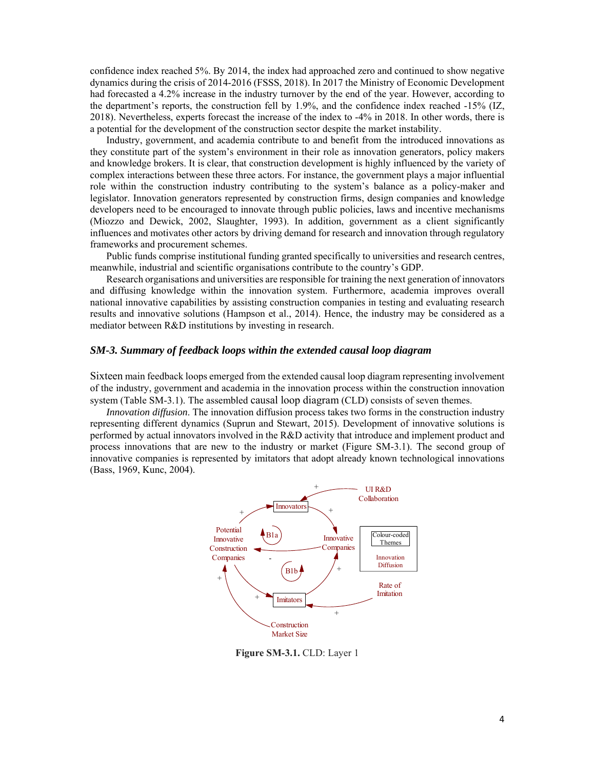confidence index reached 5%. By 2014, the index had approached zero and continued to show negative dynamics during the crisis of 2014-2016 (FSSS, 2018). In 2017 the Ministry of Economic Development had forecasted a 4.2% increase in the industry turnover by the end of the year. However, according to the department's reports, the construction fell by 1.9%, and the confidence index reached -15% (IZ, 2018). Nevertheless, experts forecast the increase of the index to -4% in 2018. In other words, there is a potential for the development of the construction sector despite the market instability.

Industry, government, and academia contribute to and benefit from the introduced innovations as they constitute part of the system's environment in their role as innovation generators, policy makers and knowledge brokers. It is clear, that construction development is highly influenced by the variety of complex interactions between these three actors. For instance, the government plays a major influential role within the construction industry contributing to the system's balance as a policy-maker and legislator. Innovation generators represented by construction firms, design companies and knowledge developers need to be encouraged to innovate through public policies, laws and incentive mechanisms (Miozzo and Dewick, 2002, Slaughter, 1993). In addition, government as a client significantly influences and motivates other actors by driving demand for research and innovation through regulatory frameworks and procurement schemes.

Public funds comprise institutional funding granted specifically to universities and research centres, meanwhile, industrial and scientific organisations contribute to the country's GDP.

Research organisations and universities are responsible for training the next generation of innovators and diffusing knowledge within the innovation system. Furthermore, academia improves overall national innovative capabilities by assisting construction companies in testing and evaluating research results and innovative solutions (Hampson et al., 2014). Hence, the industry may be considered as a mediator between R&D institutions by investing in research.

#### *SM-3. Summary of feedback loops within the extended causal loop diagram*

Sixteen main feedback loops emerged from the extended causal loop diagram representing involvement of the industry, government and academia in the innovation process within the construction innovation system (Table SM-3.1). The assembled causal loop diagram (CLD) consists of seven themes.

*Innovation diffusion*. The innovation diffusion process takes two forms in the construction industry representing different dynamics (Suprun and Stewart, 2015). Development of innovative solutions is performed by actual innovators involved in the R&D activity that introduce and implement product and process innovations that are new to the industry or market (Figure SM-3.1). The second group of innovative companies is represented by imitators that adopt already known technological innovations (Bass, 1969, Kunc, 2004).



**Figure SM-3.1.** CLD: Layer 1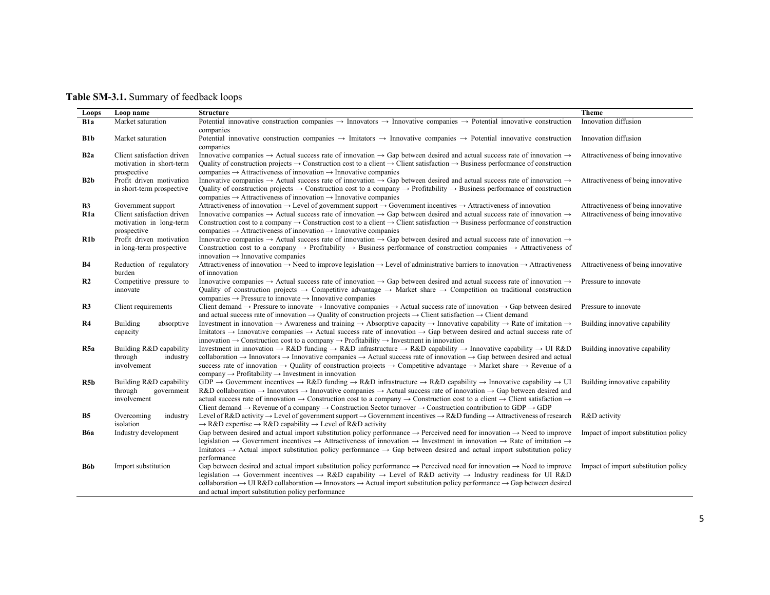| <b>Table SM-3.1.</b> Summary of feedback loops |  |
|------------------------------------------------|--|
|------------------------------------------------|--|

| Loops            | Loop name                                                       | <b>Structure</b>                                                                                                                                                                                                                                                                                                                                                                                                                                                                                                                                                                                                                                                                                            | <b>Theme</b>                         |
|------------------|-----------------------------------------------------------------|-------------------------------------------------------------------------------------------------------------------------------------------------------------------------------------------------------------------------------------------------------------------------------------------------------------------------------------------------------------------------------------------------------------------------------------------------------------------------------------------------------------------------------------------------------------------------------------------------------------------------------------------------------------------------------------------------------------|--------------------------------------|
| B <sub>1</sub> a | Market saturation                                               | Potential innovative construction companies $\rightarrow$ Innovators $\rightarrow$ Innovative companies $\rightarrow$ Potential innovative construction                                                                                                                                                                                                                                                                                                                                                                                                                                                                                                                                                     | Innovation diffusion                 |
|                  |                                                                 | companies                                                                                                                                                                                                                                                                                                                                                                                                                                                                                                                                                                                                                                                                                                   |                                      |
| B1b              | Market saturation                                               | Potential innovative construction companies $\rightarrow$ Imitators $\rightarrow$ Innovative companies $\rightarrow$ Potential innovative construction<br>companies                                                                                                                                                                                                                                                                                                                                                                                                                                                                                                                                         | Innovation diffusion                 |
| B <sub>2</sub> a | Client satisfaction driven<br>motivation in short-term          | Innovative companies $\rightarrow$ Actual success rate of innovation $\rightarrow$ Gap between desired and actual success rate of innovation $\rightarrow$<br>Quality of construction projects $\rightarrow$ Construction cost to a client $\rightarrow$ Client satisfaction $\rightarrow$ Business performance of construction                                                                                                                                                                                                                                                                                                                                                                             | Attractiveness of being innovative   |
|                  | prospective                                                     | companies $\rightarrow$ Attractiveness of innovation $\rightarrow$ Innovative companies                                                                                                                                                                                                                                                                                                                                                                                                                                                                                                                                                                                                                     |                                      |
| B2b              | Profit driven motivation<br>in short-term prospective           | Innovative companies $\rightarrow$ Actual success rate of innovation $\rightarrow$ Gap between desired and actual success rate of innovation $\rightarrow$<br>Quality of construction projects $\rightarrow$ Construction cost to a company $\rightarrow$ Profitability $\rightarrow$ Business performance of construction<br>companies $\rightarrow$ Attractiveness of innovation $\rightarrow$ Innovative companies                                                                                                                                                                                                                                                                                       | Attractiveness of being innovative   |
| B <sub>3</sub>   | Government support                                              | Attractiveness of innovation $\rightarrow$ Level of government support $\rightarrow$ Government incentives $\rightarrow$ Attractiveness of innovation                                                                                                                                                                                                                                                                                                                                                                                                                                                                                                                                                       | Attractiveness of being innovative   |
| R <sub>1</sub> a | Client satisfaction driven                                      | Innovative companies $\rightarrow$ Actual success rate of innovation $\rightarrow$ Gap between desired and actual success rate of innovation $\rightarrow$                                                                                                                                                                                                                                                                                                                                                                                                                                                                                                                                                  | Attractiveness of being innovative   |
|                  | motivation in long-term<br>prospective                          | Construction cost to a company $\rightarrow$ Construction cost to a client $\rightarrow$ Client satisfaction $\rightarrow$ Business performance of construction<br>companies $\rightarrow$ Attractiveness of innovation $\rightarrow$ Innovative companies                                                                                                                                                                                                                                                                                                                                                                                                                                                  |                                      |
| R1b              | Profit driven motivation<br>in long-term prospective            | Innovative companies $\rightarrow$ Actual success rate of innovation $\rightarrow$ Gap between desired and actual success rate of innovation $\rightarrow$<br>Construction cost to a company $\rightarrow$ Profitability $\rightarrow$ Business performance of construction companies $\rightarrow$ Attractiveness of<br>innovation $\rightarrow$ Innovative companies                                                                                                                                                                                                                                                                                                                                      |                                      |
| B4               | Reduction of regulatory<br>burden                               | Attractiveness of innovation $\rightarrow$ Need to improve legislation $\rightarrow$ Level of administrative barriers to innovation $\rightarrow$ Attractiveness<br>of innovation                                                                                                                                                                                                                                                                                                                                                                                                                                                                                                                           | Attractiveness of being innovative   |
| R <sub>2</sub>   | Competitive pressure to<br>innovate                             | Innovative companies $\rightarrow$ Actual success rate of innovation $\rightarrow$ Gap between desired and actual success rate of innovation $\rightarrow$<br>Quality of construction projects $\rightarrow$ Competitive advantage $\rightarrow$ Market share $\rightarrow$ Competition on traditional construction<br>companies $\rightarrow$ Pressure to innovate $\rightarrow$ Innovative companies                                                                                                                                                                                                                                                                                                      | Pressure to innovate                 |
| R3               | Client requirements                                             | Client demand $\rightarrow$ Pressure to innovate $\rightarrow$ Innovative companies $\rightarrow$ Actual success rate of innovation $\rightarrow$ Gap between desired<br>and actual success rate of innovation $\rightarrow$ Quality of construction projects $\rightarrow$ Client satisfaction $\rightarrow$ Client demand                                                                                                                                                                                                                                                                                                                                                                                 | Pressure to innovate                 |
| R4               | Building<br>absorptive<br>capacity                              | Investment in innovation $\rightarrow$ Awareness and training $\rightarrow$ Absorptive capacity $\rightarrow$ Innovative capability $\rightarrow$ Rate of imitation $\rightarrow$<br>Imitators $\rightarrow$ Innovative companies $\rightarrow$ Actual success rate of innovation $\rightarrow$ Gap between desired and actual success rate of<br>innovation $\rightarrow$ Construction cost to a company $\rightarrow$ Profitability $\rightarrow$ Investment in innovation                                                                                                                                                                                                                                | Building innovative capability       |
| R <sub>5a</sub>  | Building R&D capability<br>through<br>industry<br>involvement   | Investment in innovation $\rightarrow$ R&D funding $\rightarrow$ R&D infrastructure $\rightarrow$ R&D capability $\rightarrow$ Innovative capability $\rightarrow$ UI R&D<br>collaboration $\rightarrow$ Innovators $\rightarrow$ Innovative companies $\rightarrow$ Actual success rate of innovation $\rightarrow$ Gap between desired and actual<br>success rate of innovation $\rightarrow$ Quality of construction projects $\rightarrow$ Competitive advantage $\rightarrow$ Market share $\rightarrow$ Revenue of a<br>company $\rightarrow$ Profitability $\rightarrow$ Investment in innovation                                                                                                    | Building innovative capability       |
| R <sub>5</sub> b | Building R&D capability<br>through<br>government<br>involvement | GDP $\rightarrow$ Government incentives $\rightarrow$ R&D funding $\rightarrow$ R&D infrastructure $\rightarrow$ R&D capability $\rightarrow$ Innovative capability $\rightarrow$ UI<br>$R&D$ collaboration $\rightarrow$ Innovators $\rightarrow$ Innovative companies $\rightarrow$ Actual success rate of innovation $\rightarrow$ Gap between desired and<br>actual success rate of innovation $\rightarrow$ Construction cost to a company $\rightarrow$ Construction cost to a client $\rightarrow$ Client satisfaction $\rightarrow$<br>Client demand $\rightarrow$ Revenue of a company $\rightarrow$ Construction Sector turnover $\rightarrow$ Construction contribution to GDP $\rightarrow$ GDP | Building innovative capability       |
| <b>B5</b>        | Overcoming<br>industry<br>isolation                             | Level of R&D activity $\rightarrow$ Level of government support $\rightarrow$ Government incentives $\rightarrow$ R&D funding $\rightarrow$ Attractiveness of research<br>$\rightarrow$ R&D expertise $\rightarrow$ R&D capability $\rightarrow$ Level of R&D activity                                                                                                                                                                                                                                                                                                                                                                                                                                      | R&D activity                         |
| <b>B6a</b>       | Industry development                                            | Gap between desired and actual import substitution policy performance $\rightarrow$ Perceived need for innovation $\rightarrow$ Need to improve<br>legislation $\rightarrow$ Government incentives $\rightarrow$ Attractiveness of innovation $\rightarrow$ Investment in innovation $\rightarrow$ Rate of imitation $\rightarrow$<br>Imitators $\rightarrow$ Actual import substitution policy performance $\rightarrow$ Gap between desired and actual import substitution policy<br>performance                                                                                                                                                                                                          | Impact of import substitution policy |
| B6b              | Import substitution                                             | Gap between desired and actual import substitution policy performance $\rightarrow$ Perceived need for innovation $\rightarrow$ Need to improve<br>legislation $\rightarrow$ Government incentives $\rightarrow$ R&D capability $\rightarrow$ Level of R&D activity $\rightarrow$ Industry readiness for UI R&D<br>collaboration $\rightarrow$ UI R&D collaboration $\rightarrow$ Innovators $\rightarrow$ Actual import substitution policy performance $\rightarrow$ Gap between desired<br>and actual import substitution policy performance                                                                                                                                                             | Impact of import substitution policy |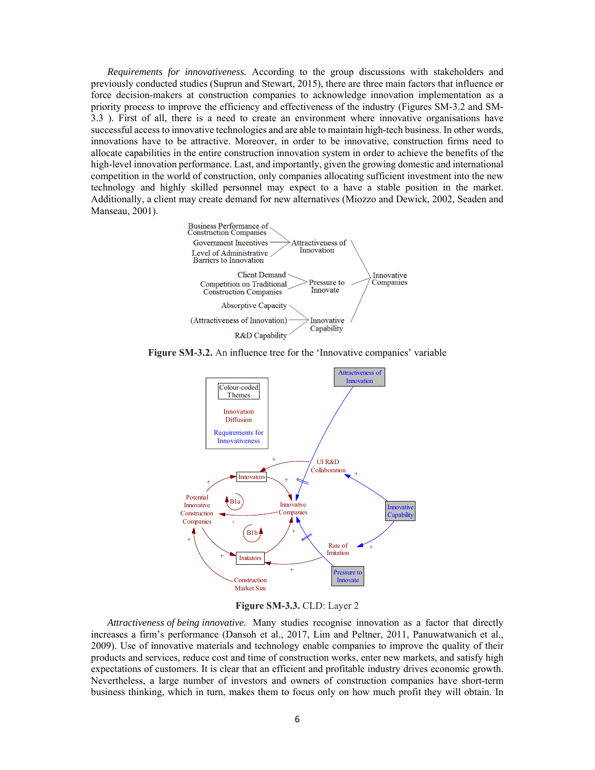*Requirements for innovativeness.* According to the group discussions with stakeholders and previously conducted studies (Suprun and Stewart, 2015), there are three main factors that influence or force decision-makers at construction companies to acknowledge innovation implementation as a priority process to improve the efficiency and effectiveness of the industry (Figures SM-3.2 and SM-3.3 ). First of all, there is a need to create an environment where innovative organisations have successful access to innovative technologies and are able to maintain high-tech business. In other words, innovations have to be attractive. Moreover, in order to be innovative, construction firms need to allocate capabilities in the entire construction innovation system in order to achieve the benefits of the high-level innovation performance. Last, and importantly, given the growing domestic and international competition in the world of construction, only companies allocating sufficient investment into the new technology and highly skilled personnel may expect to a have a stable position in the market. Additionally, a client may create demand for new alternatives (Miozzo and Dewick, 2002, Seaden and Manseau, 2001).







**Figure SM-3.3.** CLD: Layer 2

*Attractiveness of being innovative.* Many studies recognise innovation as a factor that directly increases a firm's performance (Dansoh et al., 2017, Lim and Peltner, 2011, Panuwatwanich et al., 2009). Use of innovative materials and technology enable companies to improve the quality of their products and services, reduce cost and time of construction works, enter new markets, and satisfy high expectations of customers. It is clear that an efficient and profitable industry drives economic growth. Nevertheless, a large number of investors and owners of construction companies have short-term business thinking, which in turn, makes them to focus only on how much profit they will obtain. In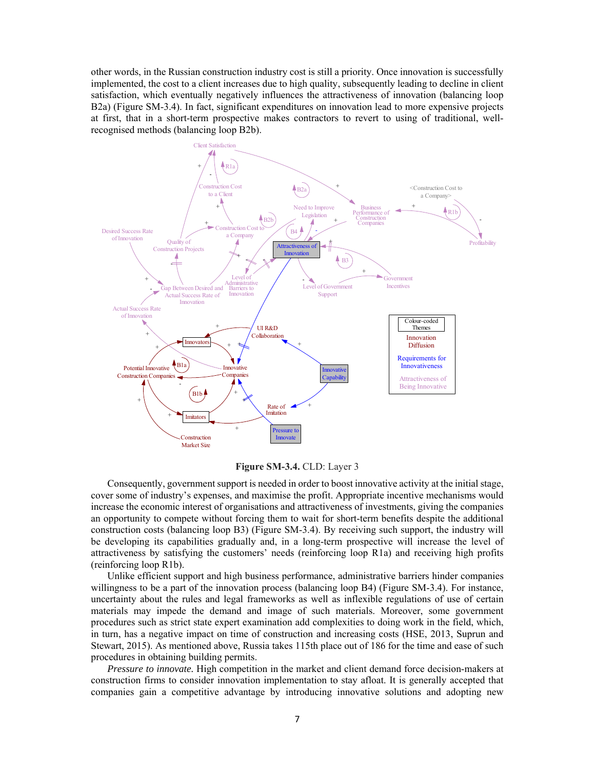other words, in the Russian construction industry cost is still a priority. Once innovation is successfully implemented, the cost to a client increases due to high quality, subsequently leading to decline in client satisfaction, which eventually negatively influences the attractiveness of innovation (balancing loop B2a) (Figure SM-3.4). In fact, significant expenditures on innovation lead to more expensive projects at first, that in a short-term prospective makes contractors to revert to using of traditional, wellrecognised methods (balancing loop B2b).



**Figure SM-3.4.** CLD: Layer 3

Consequently, government support is needed in order to boost innovative activity at the initial stage, cover some of industry's expenses, and maximise the profit. Appropriate incentive mechanisms would increase the economic interest of organisations and attractiveness of investments, giving the companies an opportunity to compete without forcing them to wait for short-term benefits despite the additional construction costs (balancing loop B3) (Figure SM-3.4). By receiving such support, the industry will be developing its capabilities gradually and, in a long-term prospective will increase the level of attractiveness by satisfying the customers' needs (reinforcing loop R1a) and receiving high profits (reinforcing loop R1b).

Unlike efficient support and high business performance, administrative barriers hinder companies willingness to be a part of the innovation process (balancing loop B4) (Figure SM-3.4). For instance, uncertainty about the rules and legal frameworks as well as inflexible regulations of use of certain materials may impede the demand and image of such materials. Moreover, some government procedures such as strict state expert examination add complexities to doing work in the field, which, in turn, has a negative impact on time of construction and increasing costs (HSE, 2013, Suprun and Stewart, 2015). As mentioned above, Russia takes 115th place out of 186 for the time and ease of such procedures in obtaining building permits.

*Pressure to innovate.* High competition in the market and client demand force decision-makers at construction firms to consider innovation implementation to stay afloat. It is generally accepted that companies gain a competitive advantage by introducing innovative solutions and adopting new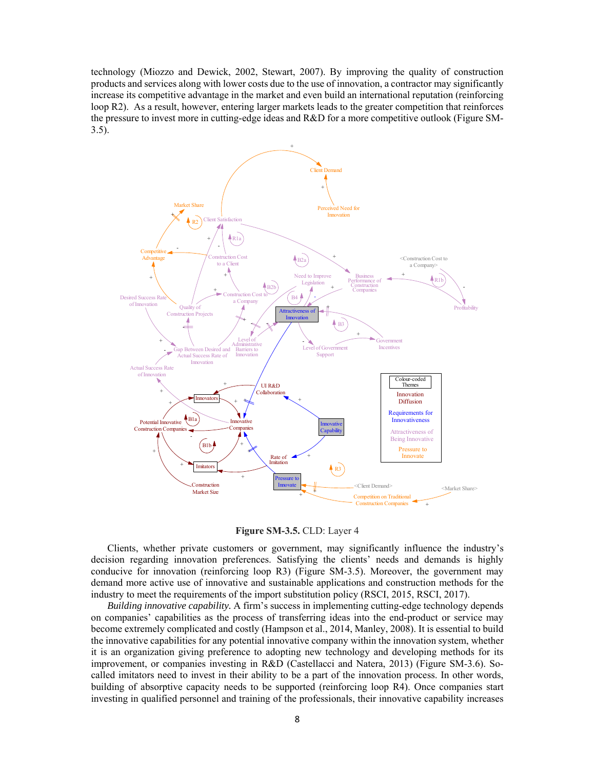technology (Miozzo and Dewick, 2002, Stewart, 2007). By improving the quality of construction products and services along with lower costs due to the use of innovation, a contractor may significantly increase its competitive advantage in the market and even build an international reputation (reinforcing loop R2). As a result, however, entering larger markets leads to the greater competition that reinforces the pressure to invest more in cutting-edge ideas and R&D for a more competitive outlook (Figure SM-3.5).



**Figure SM-3.5.** CLD: Layer 4

Clients, whether private customers or government, may significantly influence the industry's decision regarding innovation preferences. Satisfying the clients' needs and demands is highly conducive for innovation (reinforcing loop R3) (Figure SM-3.5). Moreover, the government may demand more active use of innovative and sustainable applications and construction methods for the industry to meet the requirements of the import substitution policy (RSCI, 2015, RSCI, 2017).

*Building innovative capability.* A firm's success in implementing cutting-edge technology depends on companies' capabilities as the process of transferring ideas into the end-product or service may become extremely complicated and costly (Hampson et al., 2014, Manley, 2008). It is essential to build the innovative capabilities for any potential innovative company within the innovation system, whether it is an organization giving preference to adopting new technology and developing methods for its improvement, or companies investing in R&D (Castellacci and Natera, 2013) (Figure SM-3.6). Socalled imitators need to invest in their ability to be a part of the innovation process. In other words, building of absorptive capacity needs to be supported (reinforcing loop R4). Once companies start investing in qualified personnel and training of the professionals, their innovative capability increases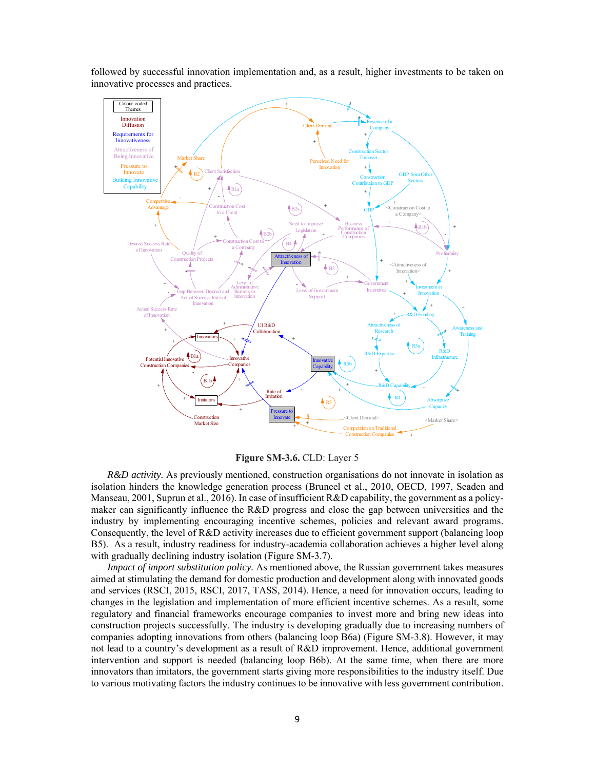followed by successful innovation implementation and, as a result, higher investments to be taken on innovative processes and practices.



**Figure SM-3.6.** CLD: Layer 5

*R&D activity.* As previously mentioned, construction organisations do not innovate in isolation as isolation hinders the knowledge generation process (Bruneel et al., 2010, OECD, 1997, Seaden and Manseau, 2001, Suprun et al., 2016). In case of insufficient R&D capability, the government as a policymaker can significantly influence the R&D progress and close the gap between universities and the industry by implementing encouraging incentive schemes, policies and relevant award programs. Consequently, the level of R&D activity increases due to efficient government support (balancing loop B5). As a result, industry readiness for industry-academia collaboration achieves a higher level along with gradually declining industry isolation (Figure SM-3.7).

*Impact of import substitution policy.* As mentioned above, the Russian government takes measures aimed at stimulating the demand for domestic production and development along with innovated goods and services (RSCI, 2015, RSCI, 2017, TASS, 2014). Hence, a need for innovation occurs, leading to changes in the legislation and implementation of more efficient incentive schemes. As a result, some regulatory and financial frameworks encourage companies to invest more and bring new ideas into construction projects successfully. The industry is developing gradually due to increasing numbers of companies adopting innovations from others (balancing loop B6a) (Figure SM-3.8). However, it may not lead to a country's development as a result of R&D improvement. Hence, additional government intervention and support is needed (balancing loop B6b). At the same time, when there are more innovators than imitators, the government starts giving more responsibilities to the industry itself. Due to various motivating factors the industry continues to be innovative with less government contribution.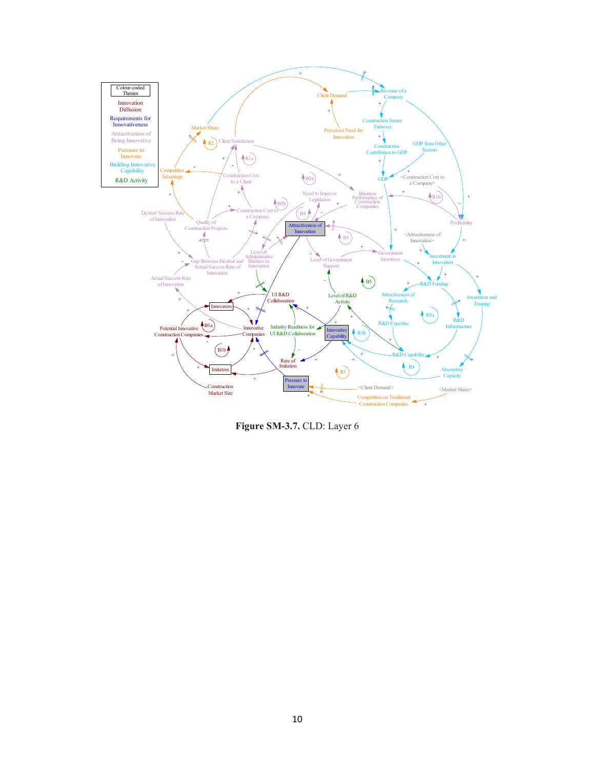

**Figure SM-3.7.** CLD: Layer 6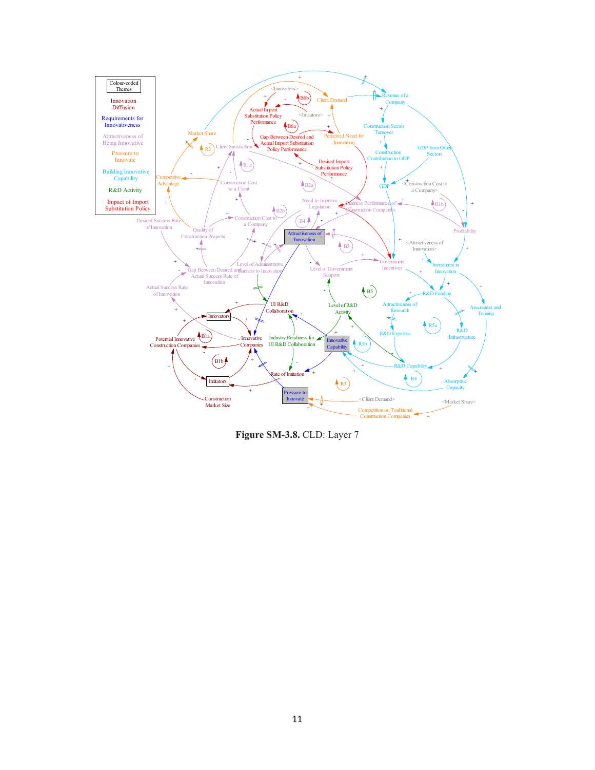

**Figure SM-3.8.** CLD: Layer 7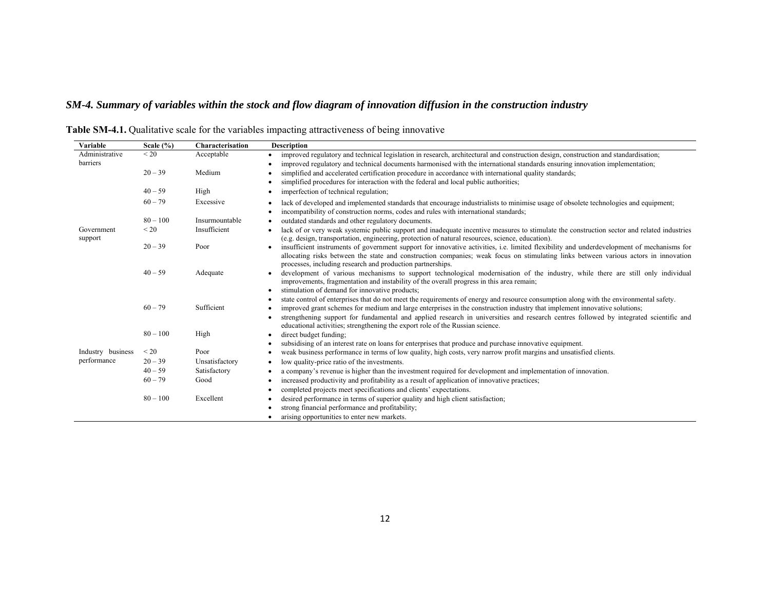# *SM-4. Summary of variables within the stock and flow diagram of innovation diffusion in the construction industry*

| Variable              | Scale $(\% )$ | Characterisation | <b>Description</b>                                                                                                                                                                                                                                                                                                                                                                                           |
|-----------------------|---------------|------------------|--------------------------------------------------------------------------------------------------------------------------------------------------------------------------------------------------------------------------------------------------------------------------------------------------------------------------------------------------------------------------------------------------------------|
| Administrative        | < 20          | Acceptable       | improved regulatory and technical legislation in research, architectural and construction design, construction and standardisation;                                                                                                                                                                                                                                                                          |
| barriers              |               |                  | improved regulatory and technical documents harmonised with the international standards ensuring innovation implementation;                                                                                                                                                                                                                                                                                  |
|                       | $20 - 39$     | Medium           | simplified and accelerated certification procedure in accordance with international quality standards;                                                                                                                                                                                                                                                                                                       |
|                       |               |                  | simplified procedures for interaction with the federal and local public authorities;                                                                                                                                                                                                                                                                                                                         |
|                       | $40 - 59$     | High             | imperfection of technical regulation;                                                                                                                                                                                                                                                                                                                                                                        |
|                       | $60 - 79$     | Excessive        | lack of developed and implemented standards that encourage industrialists to minimise usage of obsolete technologies and equipment;<br>٠                                                                                                                                                                                                                                                                     |
|                       |               |                  | incompatibility of construction norms, codes and rules with international standards;                                                                                                                                                                                                                                                                                                                         |
|                       | $80 - 100$    | Insurmountable   | outdated standards and other regulatory documents.                                                                                                                                                                                                                                                                                                                                                           |
| Government<br>support | < 20          | Insufficient     | lack of or very weak systemic public support and inadequate incentive measures to stimulate the construction sector and related industries<br>(e.g. design, transportation, engineering, protection of natural resources, science, education).                                                                                                                                                               |
|                       | $20 - 39$     | Poor             | insufficient instruments of government support for innovative activities, i.e. limited flexibility and underdevelopment of mechanisms for<br>allocating risks between the state and construction companies; weak focus on stimulating links between various actors in innovation<br>processes, including research and production partnerships.                                                               |
|                       | $40 - 59$     | Adequate         | development of various mechanisms to support technological modernisation of the industry, while there are still only individual<br>improvements, fragmentation and instability of the overall progress in this area remain;<br>stimulation of demand for innovative products;                                                                                                                                |
|                       | $60 - 79$     | Sufficient       | state control of enterprises that do not meet the requirements of energy and resource consumption along with the environmental safety.<br>improved grant schemes for medium and large enterprises in the construction industry that implement innovative solutions;<br>strengthening support for fundamental and applied research in universities and research centres followed by integrated scientific and |
|                       |               |                  | educational activities; strengthening the export role of the Russian science.                                                                                                                                                                                                                                                                                                                                |
|                       | $80 - 100$    | High             | direct budget funding;                                                                                                                                                                                                                                                                                                                                                                                       |
|                       |               |                  | subsidising of an interest rate on loans for enterprises that produce and purchase innovative equipment.                                                                                                                                                                                                                                                                                                     |
| Industry business     | $\leq$ 20     | Poor             | weak business performance in terms of low quality, high costs, very narrow profit margins and unsatisfied clients.                                                                                                                                                                                                                                                                                           |
| performance           | $20 - 39$     | Unsatisfactory   | low quality-price ratio of the investments.                                                                                                                                                                                                                                                                                                                                                                  |
|                       | $40 - 59$     | Satisfactory     | a company's revenue is higher than the investment required for development and implementation of innovation.                                                                                                                                                                                                                                                                                                 |
|                       | $60 - 79$     | Good             | increased productivity and profitability as a result of application of innovative practices;                                                                                                                                                                                                                                                                                                                 |
|                       |               |                  | completed projects meet specifications and clients' expectations.                                                                                                                                                                                                                                                                                                                                            |
|                       | $80 - 100$    | Excellent        | desired performance in terms of superior quality and high client satisfaction;                                                                                                                                                                                                                                                                                                                               |
|                       |               |                  | strong financial performance and profitability;                                                                                                                                                                                                                                                                                                                                                              |
|                       |               |                  | arising opportunities to enter new markets.                                                                                                                                                                                                                                                                                                                                                                  |

**Table SM-4.1.** Qualitative scale for the variables impacting attractiveness of being innovative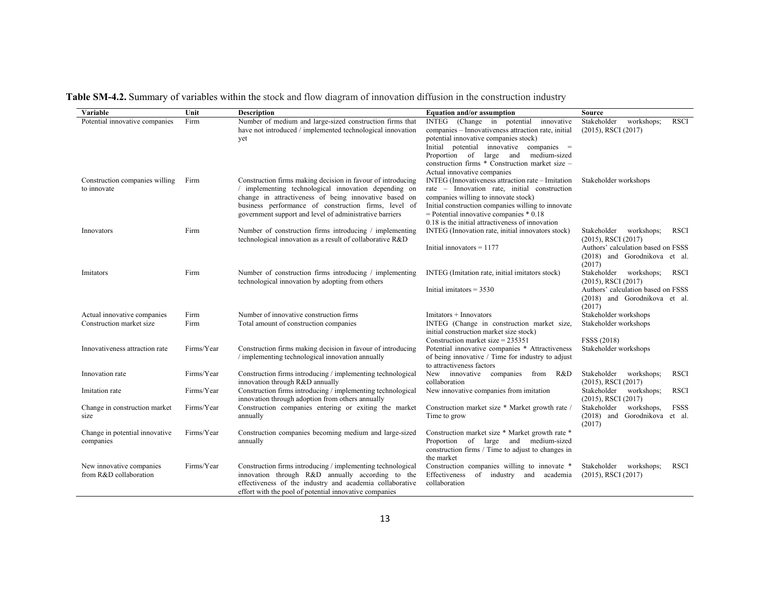**Table SM-4.2.** Summary of variables within the stock and flow diagram of innovation diffusion in the construction industry

| Variable                                                | Unit         | <b>Description</b>                                                                                                                                                                                                                                                                              | <b>Equation and/or assumption</b>                                                                                                                                                                                                                                                                                 | Source                                                                                                                                                |
|---------------------------------------------------------|--------------|-------------------------------------------------------------------------------------------------------------------------------------------------------------------------------------------------------------------------------------------------------------------------------------------------|-------------------------------------------------------------------------------------------------------------------------------------------------------------------------------------------------------------------------------------------------------------------------------------------------------------------|-------------------------------------------------------------------------------------------------------------------------------------------------------|
| Potential innovative companies                          | Firm         | Number of medium and large-sized construction firms that<br>have not introduced / implemented technological innovation<br>yet                                                                                                                                                                   | INTEG (Change in potential<br>innovative<br>companies - Innovativeness attraction rate, initial<br>potential innovative companies stock)<br>Initial potential innovative companies =<br>Proportion of large and<br>medium-sized<br>construction firms * Construction market size -<br>Actual innovative companies | Stakeholder<br><b>RSCI</b><br>workshops;<br>$(2015)$ , RSCI $(2017)$                                                                                  |
| Construction companies willing<br>to innovate           | Firm         | Construction firms making decision in favour of introducing<br>/ implementing technological innovation depending on<br>change in attractiveness of being innovative based on<br>business performance of construction firms, level of<br>government support and level of administrative barriers | INTEG (Innovativeness attraction rate – Imitation<br>rate - Innovation rate, initial construction<br>companies willing to innovate stock)<br>Initial construction companies willing to innovate<br>$=$ Potential innovative companies $*$ 0.18<br>0.18 is the initial attractiveness of innovation                | Stakeholder workshops                                                                                                                                 |
| Innovators                                              | Firm         | Number of construction firms introducing / implementing<br>technological innovation as a result of collaborative R&D                                                                                                                                                                            | INTEG (Innovation rate, initial innovators stock)<br>Initial innovators $= 1177$                                                                                                                                                                                                                                  | Stakeholder<br>workshops;<br><b>RSCI</b><br>$(2015)$ , RSCI $(2017)$<br>Authors' calculation based on FSSS<br>(2018) and Gorodnikova et al.<br>(2017) |
| Imitators                                               | Firm         | Number of construction firms introducing / implementing<br>technological innovation by adopting from others                                                                                                                                                                                     | INTEG (Imitation rate, initial imitators stock)<br>Initial imitators $= 3530$                                                                                                                                                                                                                                     | Stakeholder workshops;<br><b>RSCI</b><br>$(2015)$ , RSCI $(2017)$<br>Authors' calculation based on FSSS<br>(2018) and Gorodnikova et al.<br>(2017)    |
| Actual innovative companies<br>Construction market size | Firm<br>Firm | Number of innovative construction firms<br>Total amount of construction companies                                                                                                                                                                                                               | $Imitators + Innovators$<br>INTEG (Change in construction market size,<br>initial construction market size stock)<br>Construction market size = $235351$                                                                                                                                                          | Stakeholder workshops<br>Stakeholder workshops<br>FSSS (2018)                                                                                         |
| Innovativeness attraction rate                          | Firms/Year   | Construction firms making decision in favour of introducing<br>/ implementing technological innovation annually                                                                                                                                                                                 | Potential innovative companies * Attractiveness<br>of being innovative / Time for industry to adjust<br>to attractiveness factors                                                                                                                                                                                 | Stakeholder workshops                                                                                                                                 |
| Innovation rate                                         | Firms/Year   | Construction firms introducing / implementing technological<br>innovation through R&D annually                                                                                                                                                                                                  | New innovative companies from R&D<br>collaboration                                                                                                                                                                                                                                                                | Stakeholder<br>workshops;<br>RSCI<br>$(2015)$ , RSCI $(2017)$                                                                                         |
| Imitation rate                                          | Firms/Year   | Construction firms introducing / implementing technological<br>innovation through adoption from others annually                                                                                                                                                                                 | New innovative companies from imitation                                                                                                                                                                                                                                                                           | workshops;<br><b>RSCI</b><br>Stakeholder<br>$(2015)$ , RSCI $(2017)$                                                                                  |
| Change in construction market<br>size                   | Firms/Year   | Construction companies entering or exiting the market<br>annually                                                                                                                                                                                                                               | Construction market size * Market growth rate /<br>Time to grow                                                                                                                                                                                                                                                   | workshops,<br>Stakeholder<br>FSSS<br>(2018) and Gorodnikova et al.<br>(2017)                                                                          |
| Change in potential innovative<br>companies             | Firms/Year   | Construction companies becoming medium and large-sized<br>annually                                                                                                                                                                                                                              | Construction market size * Market growth rate *<br>Proportion of large and medium-sized<br>construction firms / Time to adjust to changes in<br>the market                                                                                                                                                        |                                                                                                                                                       |
| New innovative companies<br>from R&D collaboration      | Firms/Year   | Construction firms introducing / implementing technological<br>innovation through R&D annually according to the<br>effectiveness of the industry and academia collaborative<br>effort with the pool of potential innovative companies                                                           | Construction companies willing to innovate *<br>Effectiveness of industry and academia<br>collaboration                                                                                                                                                                                                           | Stakeholder<br>workshops;<br><b>RSCI</b><br>$(2015)$ , RSCI $(2017)$                                                                                  |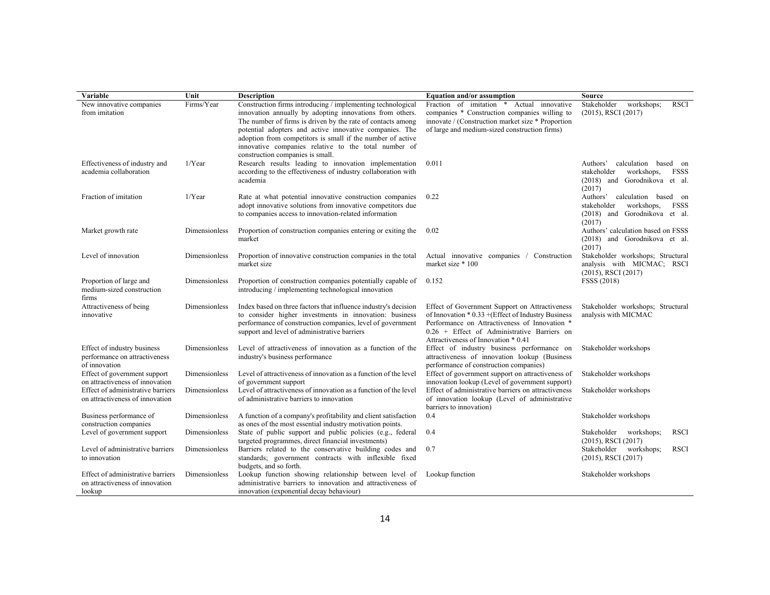| Variable                                                                       | Unit          | <b>Description</b>                                                                                                                                                                                                                                                                                                                                                                                          | Equation and/or assumption                                                                                                                                                                                                                     | Source                                                                                                           |
|--------------------------------------------------------------------------------|---------------|-------------------------------------------------------------------------------------------------------------------------------------------------------------------------------------------------------------------------------------------------------------------------------------------------------------------------------------------------------------------------------------------------------------|------------------------------------------------------------------------------------------------------------------------------------------------------------------------------------------------------------------------------------------------|------------------------------------------------------------------------------------------------------------------|
| New innovative companies<br>from imitation                                     | Firms/Year    | Construction firms introducing / implementing technological<br>innovation annually by adopting innovations from others.<br>The number of firms is driven by the rate of contacts among<br>potential adopters and active innovative companies. The<br>adoption from competitors is small if the number of active<br>innovative companies relative to the total number of<br>construction companies is small. | Fraction of imitation<br>Actual innovative<br>$\ast$<br>companies * Construction companies willing to<br>innovate / (Construction market size * Proportion<br>of large and medium-sized construction firms)                                    | Stakeholder<br>workshops;<br><b>RSCI</b><br>(2015), RSCI (2017)                                                  |
| Effectiveness of industry and<br>academia collaboration                        | $1/Y$ ear     | Research results leading to innovation implementation<br>according to the effectiveness of industry collaboration with<br>academia                                                                                                                                                                                                                                                                          | 0.011                                                                                                                                                                                                                                          | calculation based on<br>Authors'<br>stakeholder<br>workshops,<br>FSSS<br>(2018) and Gorodnikova et al.<br>(2017) |
| Fraction of imitation                                                          | $1/Y$ ear     | Rate at what potential innovative construction companies<br>adopt innovative solutions from innovative competitors due<br>to companies access to innovation-related information                                                                                                                                                                                                                             | 0.22                                                                                                                                                                                                                                           | Authors'<br>calculation based on<br>stakeholder<br>workshops,<br>FSSS<br>(2018) and Gorodnikova et al.<br>(2017) |
| Market growth rate                                                             | Dimensionless | Proportion of construction companies entering or exiting the<br>market                                                                                                                                                                                                                                                                                                                                      | 0.02                                                                                                                                                                                                                                           | Authors' calculation based on FSSS<br>and Gorodnikova et al.<br>(2018)<br>(2017)                                 |
| Level of innovation                                                            | Dimensionless | Proportion of innovative construction companies in the total<br>market size                                                                                                                                                                                                                                                                                                                                 | Actual innovative companies / Construction<br>market size * 100                                                                                                                                                                                | Stakeholder workshops; Structural<br>analysis with MICMAC; RSCI<br>$(2015)$ , RSCI $(2017)$                      |
| Proportion of large and<br>medium-sized construction<br>firms                  | Dimensionless | Proportion of construction companies potentially capable of<br>introducing / implementing technological innovation                                                                                                                                                                                                                                                                                          | 0.152                                                                                                                                                                                                                                          | FSSS (2018)                                                                                                      |
| Attractiveness of being<br>innovative                                          | Dimensionless | Index based on three factors that influence industry's decision<br>to consider higher investments in innovation: business<br>performance of construction companies, level of government<br>support and level of administrative barriers                                                                                                                                                                     | Effect of Government Support on Attractiveness<br>of Innovation * 0.33 + (Effect of Industry Business<br>Performance on Attractiveness of Innovation *<br>$0.26 +$ Effect of Administrative Barriers on<br>Attractiveness of Innovation * 0.41 | Stakeholder workshops; Structural<br>analysis with MICMAC                                                        |
| Effect of industry business<br>performance on attractiveness<br>of innovation  | Dimensionless | Level of attractiveness of innovation as a function of the<br>industry's business performance                                                                                                                                                                                                                                                                                                               | Effect of industry business performance on<br>attractiveness of innovation lookup (Business<br>performance of construction companies)                                                                                                          | Stakeholder workshops                                                                                            |
| Effect of government support<br>on attractiveness of innovation                | Dimensionless | Level of attractiveness of innovation as a function of the level<br>of government support                                                                                                                                                                                                                                                                                                                   | Effect of government support on attractiveness of<br>innovation lookup (Level of government support)                                                                                                                                           | Stakeholder workshops                                                                                            |
| Effect of administrative barriers<br>on attractiveness of innovation           | Dimensionless | Level of attractiveness of innovation as a function of the level<br>of administrative barriers to innovation                                                                                                                                                                                                                                                                                                | Effect of administrative barriers on attractiveness<br>of innovation lookup (Level of administrative<br>barriers to innovation)                                                                                                                | Stakeholder workshops                                                                                            |
| Business performance of<br>construction companies                              | Dimensionless | A function of a company's profitability and client satisfaction<br>as ones of the most essential industry motivation points.                                                                                                                                                                                                                                                                                | 0.4                                                                                                                                                                                                                                            | Stakeholder workshops                                                                                            |
| Level of government support                                                    | Dimensionless | State of public support and public policies (e.g., federal<br>targeted programmes, direct financial investments)                                                                                                                                                                                                                                                                                            | 0.4                                                                                                                                                                                                                                            | Stakeholder workshops;<br><b>RSCI</b><br>$(2015)$ , RSCI $(2017)$                                                |
| Level of administrative barriers<br>to innovation                              | Dimensionless | Barriers related to the conservative building codes and<br>standards; government contracts with inflexible fixed<br>budgets, and so forth.                                                                                                                                                                                                                                                                  | 0.7                                                                                                                                                                                                                                            | Stakeholder workshops;<br><b>RSCI</b><br>$(2015)$ , RSCI $(2017)$                                                |
| Effect of administrative barriers<br>on attractiveness of innovation<br>lookup | Dimensionless | Lookup function showing relationship between level of<br>administrative barriers to innovation and attractiveness of<br>innovation (exponential decay behaviour)                                                                                                                                                                                                                                            | Lookup function                                                                                                                                                                                                                                | Stakeholder workshops                                                                                            |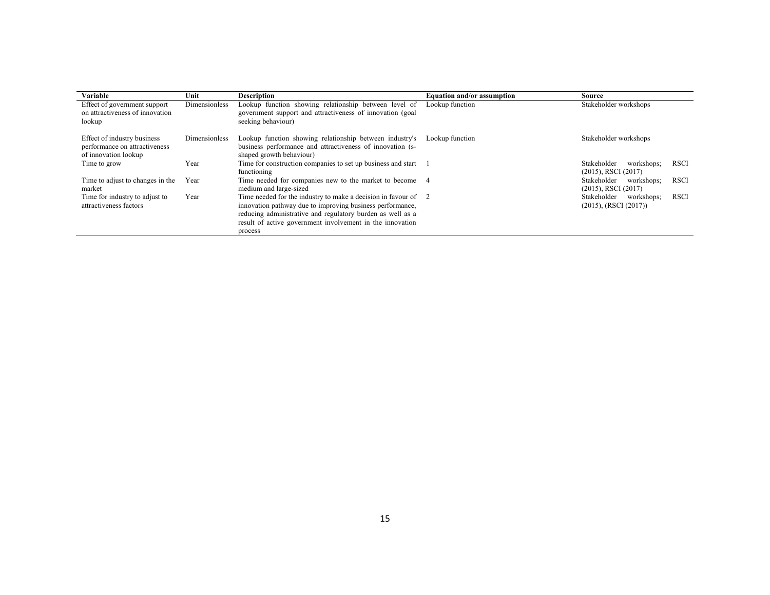| Variable                                                                             | Unit          | <b>Description</b>                                                                                                                                                                                                                                                | Equation and/or assumption | Source                                                                  |
|--------------------------------------------------------------------------------------|---------------|-------------------------------------------------------------------------------------------------------------------------------------------------------------------------------------------------------------------------------------------------------------------|----------------------------|-------------------------------------------------------------------------|
| Effect of government support<br>on attractiveness of innovation<br>lookup            | Dimensionless | Lookup function showing relationship between level of<br>government support and attractiveness of innovation (goal<br>seeking behaviour)                                                                                                                          | Lookup function            | Stakeholder workshops                                                   |
| Effect of industry business<br>performance on attractiveness<br>of innovation lookup | Dimensionless | Lookup function showing relationship between industry's<br>business performance and attractiveness of innovation (s-<br>shaped growth behaviour)                                                                                                                  | Lookup function            | Stakeholder workshops                                                   |
| Time to grow                                                                         | Year          | Time for construction companies to set up business and start<br>functioning                                                                                                                                                                                       |                            | <b>RSCI</b><br>Stakeholder<br>workshops;<br>$(2015)$ , RSCI $(2017)$    |
| Time to adjust to changes in the<br>market                                           | Year          | Time needed for companies new to the market to become 4<br>medium and large-sized                                                                                                                                                                                 |                            | Stakeholder<br><b>RSCI</b><br>workshops;<br>$(2015)$ , RSCI $(2017)$    |
| Time for industry to adjust to<br>attractiveness factors                             | Year          | Time needed for the industry to make a decision in favour of 2<br>innovation pathway due to improving business performance,<br>reducing administrative and regulatory burden as well as a<br>result of active government involvement in the innovation<br>process |                            | Stakeholder<br><b>RSCI</b><br>workshops;<br>$(2015)$ , (RSCI $(2017)$ ) |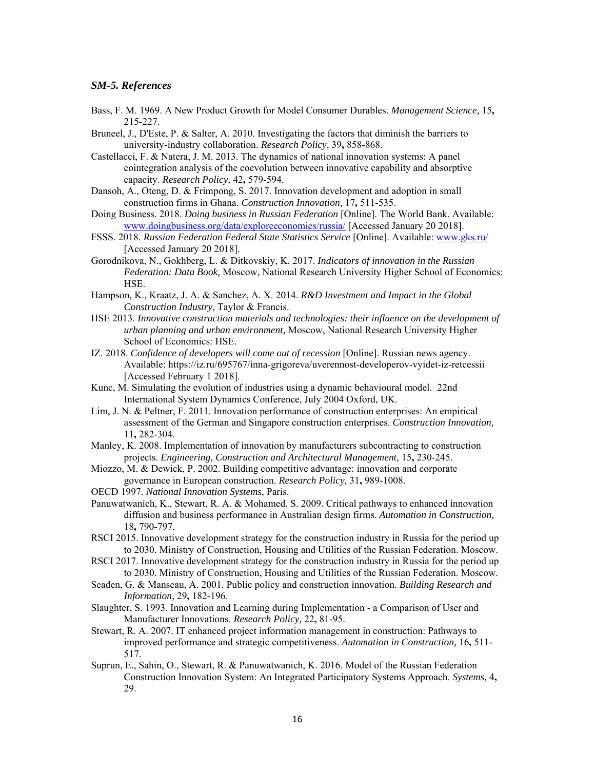#### *SM-5. References*

- Bass, F. M. 1969. A New Product Growth for Model Consumer Durables. *Management Science,* 15**,** 215-227.
- Bruneel, J., D'Este, P. & Salter, A. 2010. Investigating the factors that diminish the barriers to university-industry collaboration. *Research Policy,* 39**,** 858-868.
- Castellacci, F. & Natera, J. M. 2013. The dynamics of national innovation systems: A panel cointegration analysis of the coevolution between innovative capability and absorptive capacity. *Research Policy,* 42**,** 579-594.
- Dansoh, A., Oteng, D. & Frimpong, S. 2017. Innovation development and adoption in small construction firms in Ghana. *Construction Innovation,* 17**,** 511-535.
- Doing Business. 2018. *Doing business in Russian Federation* [Online]. The World Bank. Available: www.doingbusiness.org/data/exploreeconomies/russia/ [Accessed January 20 2018].
- FSSS. 2018. *Russian Federation Federal State Statistics Service* [Online]. Available: www.gks.ru/ [Accessed January 20 2018].
- Gorodnikova, N., Gokhberg, L. & Ditkovskiy, K. 2017. *Indicators of innovation in the Russian Federation: Data Book,* Moscow, National Research University Higher School of Economics: HSE.
- Hampson, K., Kraatz, J. A. & Sanchez, A. X. 2014. *R&D Investment and Impact in the Global Construction Industry*, Taylor & Francis.
- HSE 2013. *Innovative construction materials and technologies: their influence on the development of urban planning and urban environment,* Moscow, National Research University Higher School of Economics: HSE.
- IZ. 2018. *Confidence of developers will come out of recession* [Online]. Russian news agency. Available: https://iz.ru/695767/inna-grigoreva/uverennost-developerov-vyidet-iz-retcessii [Accessed February 1 2018].
- Kunc, M. Simulating the evolution of industries using a dynamic behavioural model. 22nd International System Dynamics Conference, July 2004 Oxford, UK.
- Lim, J. N. & Peltner, F. 2011. Innovation performance of construction enterprises: An empirical assessment of the German and Singapore construction enterprises. *Construction Innovation,* 11**,** 282-304.
- Manley, K. 2008. Implementation of innovation by manufacturers subcontracting to construction projects. *Engineering, Construction and Architectural Management,* 15**,** 230-245.
- Miozzo, M. & Dewick, P. 2002. Building competitive advantage: innovation and corporate governance in European construction. *Research Policy,* 31**,** 989-1008.
- OECD 1997. *National Innovation Systems*, Paris.
- Panuwatwanich, K., Stewart, R. A. & Mohamed, S. 2009. Critical pathways to enhanced innovation diffusion and business performance in Australian design firms. *Automation in Construction,* 18**,** 790-797.
- RSCI 2015. Innovative development strategy for the construction industry in Russia for the period up to 2030. Ministry of Construction, Housing and Utilities of the Russian Federation. Moscow.
- RSCI 2017. Innovative development strategy for the construction industry in Russia for the period up to 2030. Ministry of Construction, Housing and Utilities of the Russian Federation. Moscow.
- Seaden, G. & Manseau, A. 2001. Public policy and construction innovation. *Building Research and Information,* 29**,** 182-196.
- Slaughter, S. 1993. Innovation and Learning during Implementation a Comparison of User and Manufacturer Innovations. *Research Policy,* 22**,** 81-95.
- Stewart, R. A. 2007. IT enhanced project information management in construction: Pathways to improved performance and strategic competitiveness. *Automation in Construction,* 16**,** 511- 517.
- Suprun, E., Sahin, O., Stewart, R. & Panuwatwanich, K. 2016. Model of the Russian Federation Construction Innovation System: An Integrated Participatory Systems Approach. *Systems,* 4**,** 29.